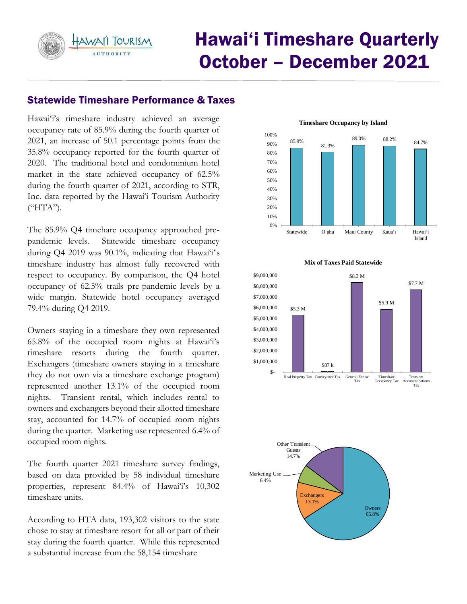HAWAI'I TOURISM **AUTHORITY** 

# Hawai'i Timeshare Quarterly October – December 2021

# Statewide Timeshare Performance & Taxes

 occupancy rate of 85.9% during the fourth quarter of 35.8% occupancy reported for the fourth quarter of 2020. The traditional hotel and condominium hotel market in the state achieved occupancy of 62.5% during the fourth quarter of 2021, according to STR, Inc. data reported by the Hawai'i Tourism Authority Hawai'i's timeshare industry achieved an average 2021, an increase of 50.1 percentage points from the  $($ "HTA").

 The 85.9% Q4 timehare occupancy approached pre- pandemic levels. Statewide timeshare occupancy during Q4 2019 was 90.1%, indicating that Hawai'i's timeshare industry has almost fully recovered with respect to occupancy. By comparison, the Q4 hotel occupancy of 62.5% trails pre-pandemic levels by a wide margin. Statewide hotel occupancy averaged 79.4% during Q4 2019.

 Owners staying in a timeshare they own represented 65.8% of the occupied room nights at Hawai'i's timeshare resorts during the fourth quarter. Exchangers (timeshare owners staying in a timeshare they do not own via a timeshare exchange program) represented another 13.1% of the occupied room nights. Transient rental, which includes rental to owners and exchangers beyond their allotted timeshare stay, accounted for 14.7% of occupied room nights during the quarter. Marketing use represented 6.4% of reported by the Hawai<br>
.% Q4 timehare occupa<br>
c levels. Statewide t<br>
14 2019 was 90.1%, indi<br>
e industry has almost<br>
o occupancy. By comp<br>
co occupancy. By comp<br>
co occupancy. By comp<br>
regin. Statewide hotel<br>
ring Q4 2019. occupied room nights.

 The fourth quarter 2021 timeshare survey findings, based on data provided by 58 individual timeshare properties, represent 84.4% of Hawai'i's 10,302 timeshare units.

 According to HTA data, 193,302 visitors to the state chose to stay at timeshare resort for all or part of their stay during the fourth quarter. While this represented a substantial increase from the 58,154 timeshare



 **Timeshare Occupancy by Island** 





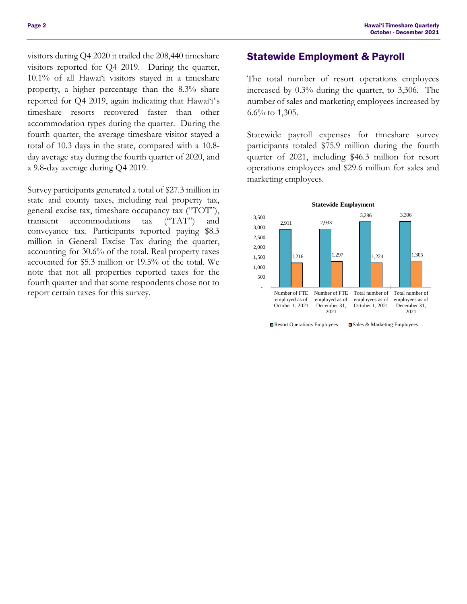visitors during Q4 2020 it trailed the 208,440 timeshare visitors reported for Q4 2019. During the quarter, 10.1% of all Hawai'i visitors stayed in a timeshare property, a higher percentage than the 8.3% share reported for Q4 2019, again indicating that Hawai'iʻs timeshare resorts recovered faster than other accommodation types during the quarter. During the fourth quarter, the average timeshare visitor stayed a total of 10.3 days in the state, compared with a 10.8- day average stay during the fourth quarter of 2020, and a 9.8-day average during Q4 2019. **Page 2**<br> **Example 1980**<br> **Example 1990**<br> **Example 1990**<br> **Example 1990**<br> **Example 1990**<br> **Example 1990**<br> **Example 1990**<br> **Example 1990**<br> **Example 1990**<br> **Example 1990**<br> **Example 1990**<br> **Example 1990**<br> **Example 1990**<br> **Ex** 

 Survey participants generated a total of \$27.3 million in state and county taxes, including real property tax, general excise tax, timeshare occupancy tax ("TOT"), transient accommodations tax ("TAT") and conveyance tax. Participants reported paying \$8.3 million in General Excise Tax during the quarter, accounting for 30.6% of the total. Real property taxes accounted for \$5.3 million or 19.5% of the total. We note that not all properties reported taxes for the fourth quarter and that some respondents chose not to report certain taxes for this survey.

## Statewide Employment & Payroll

 The total number of resort operations employees increased by 0.3% during the quarter, to 3,306. The number of sales and marketing employees increased by 6.6% to 1,305.

 Statewide payroll expenses for timeshare survey participants totaled \$75.9 million during the fourth quarter of 2021, including \$46.3 million for resort operations employees and \$29.6 million for sales and marketing employees.

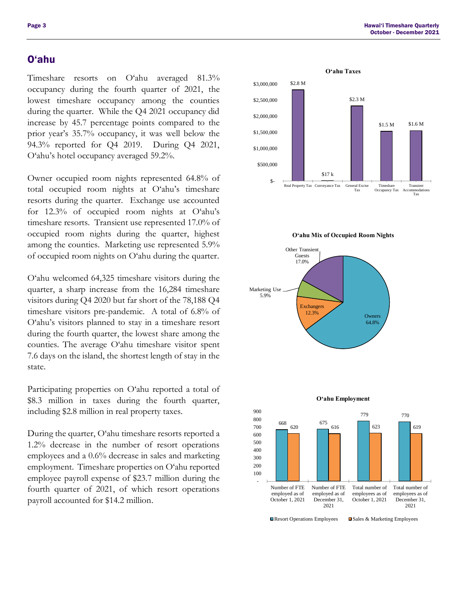#### O'ahu

 Timeshare resorts on O'ahu averaged 81.3% occupancy during the fourth quarter of 2021, the during the quarter. While the Q4 2021 occupancy did increase by 45.7 percentage points compared to the prior year's 35.7% occupancy, it was well below the 94.3% reported for Q4 2019. During Q4 2021, O'ahu's hotel occupancy averaged 59.2%. lowest timeshare occupancy among the counties

 Owner occupied room nights represented 64.8% of total occupied room nights at O'ahu's timeshare resorts during the quarter. Exchange use accounted for 12.3% of occupied room nights at O'ahu's occupied room nights during the quarter, highest among the counties. Marketing use represented 5.9% of occupied room nights on O'ahu during the quarter. timeshare resorts. Transient use represented 17.0% of

 O'ahu welcomed 64,325 timeshare visitors during the quarter, a sharp increase from the 16,284 timeshare visitors during Q4 2020 but far short of the 78,188 Q4 timeshare visitors pre-pandemic. A total of 6.8% of O'ahu's visitors planned to stay in a timeshare resort during the fourth quarter, the lowest share among the counties. The average O'ahu timeshare visitor spent 7.6 days on the island, the shortest length of stay in the state.

 Participating properties on O'ahu reported a total of \$8.3 million in taxes during the fourth quarter, including \$2.8 million in real property taxes.

 During the quarter, O'ahu timeshare resorts reported a 1.2% decrease in the number of resort operations employees and a 0.6% decrease in sales and marketing employment. Timeshare properties on O'ahu reported employee payroll expense of \$23.7 million during the fourth quarter of 2021, of which resort operations payroll accounted for \$14.2 million.



 **O'ahu Mix of Occupied Room Nights**



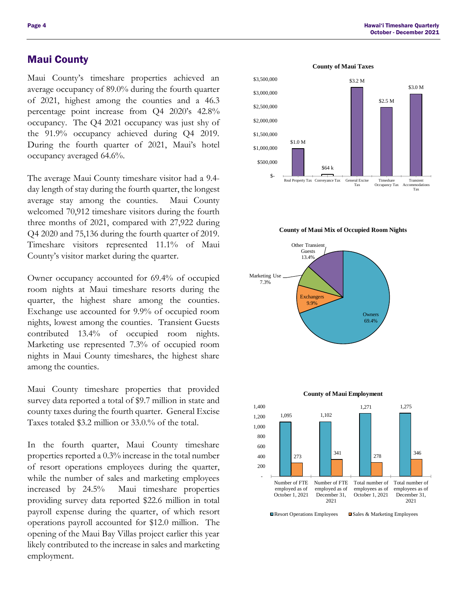### Maui County

 Maui County's timeshare properties achieved an average occupancy of 89.0% during the fourth quarter of 2021, highest among the counties and a 46.3 percentage point increase from Q4 2020's 42.8% occupancy. The Q4 2021 occupancy was just shy of the 91.9% occupancy achieved during Q4 2019. During the fourth quarter of 2021, Maui's hotel occupancy averaged 64.6%.

 The average Maui County timeshare visitor had a 9.4- day length of stay during the fourth quarter, the longest average stay among the counties. Maui County welcomed 70,912 timeshare visitors during the fourth three months of 2021, compared with 27,922 during Q4 2020 and 75,136 during the fourth quarter of 2019. Timeshare visitors represented 11.1% of Maui County's visitor market during the quarter.

 Owner occupancy accounted for 69.4% of occupied room nights at Maui timeshare resorts during the quarter, the highest share among the counties. nights, lowest among the counties. Transient Guests nights in Maui County timeshares, the highest share among the counties. Exchange use accounted for 9.9% of occupied room contributed 13.4% of occupied room nights. Marketing use represented 7.3% of occupied room

 survey data reported a total of \$9.7 million in state and county taxes during the fourth quarter. General Excise Taxes totaled \$3.2 million or 33.0.% of the total. Maui County timeshare properties that provided

 In the fourth quarter, Maui County timeshare properties reported a 0.3% increase in the total number of resort operations employees during the quarter, increased by  $24.5\%$  providing survey data reported \$22.6 million in total payroll expense during the quarter, of which resort operations payroll accounted for \$12.0 million. The opening of the Maui Bay Villas project earlier this year while the number of sales and marketing employees Maui timeshare properties likely contributed to the increase in sales and marketing employment.



 **County of Maui Mix of Occupied Room Nights** 





Resort Operations Employees ■ Sales & Marketing Employees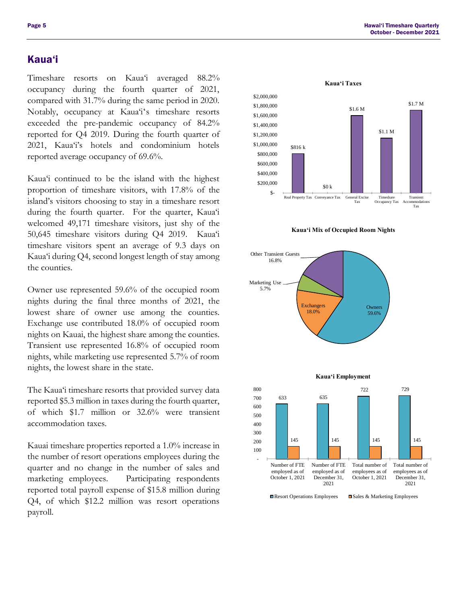### Kaua'i

 Timeshare resorts on Kaua'i averaged 88.2% occupancy during the fourth quarter of 2021, compared with 31.7% during the same period in 2020. Notably, occupancy at Kaua'iʻs timeshare resorts exceeded the pre-pandemic occupancy of 84.2% reported for Q4 2019. During the fourth quarter of 2021, Kaua'i's hotels and condominium hotels reported average occupancy of 69.6%.

 Kaua'i continued to be the island with the highest proportion of timeshare visitors, with 17.8% of the island's visitors choosing to stay in a timeshare resort during the fourth quarter. For the quarter, Kaua'i welcomed 49,171 timeshare visitors, just shy of the 50,645 timeshare visitors during Q4 2019. Kaua'i timeshare visitors spent an average of 9.3 days on Kaua'i during Q4, second longest length of stay among apancy during the fourth quarter of 2021, samonom<br>apancy during the same proced and 2020, samonom<br>ably, occupancy at Kaua'i's timeshare resorts standard<br>ably, occupancy at Kaua'i's timeshare resorts standard<br>ceded the pre the counties.

 Owner use represented 59.6% of the occupied room nights during the final three months of 2021, the lowest share of owner use among the counties. nights on Kauai, the highest share among the counties. Transient use represented 16.8% of occupied room nights, while marketing use represented 5.7% of room Exchange use contributed 18.0% of occupied room nights, the lowest share in the state.

 The Kaua'i timeshare resorts that provided survey data reported \$5.3 million in taxes during the fourth quarter, of which \$1.7 million or 32.6% were transient accommodation taxes.

 Kauai timeshare properties reported a 1.0% increase in the number of resort operations employees during the quarter and no change in the number of sales and marketing employees. reported total payroll expense of \$15.8 million during Q4, of which \$12.2 million was resort operations payroll. Participating respondents



 **Kaua'i Mix of Occupied Room Nights**

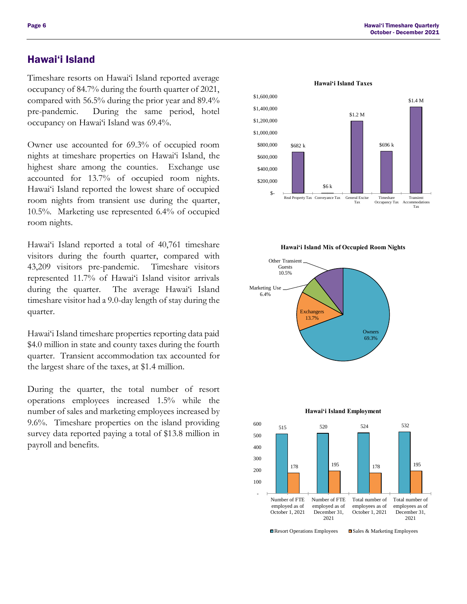#### Hawai'i Island

 Timeshare resorts on Hawai'i Island reported average occupancy of 84.7% during the fourth quarter of 2021, compared with 56.5% during the prior year and 89.4% occupancy on Hawai'i Island was 69.4%. **Island**<br> **Example 18**<br> **Example 18**<br> **Example 18**<br> **Example 18**<br> **Example 18**<br> **Example 18**<br> **Example 18**<br> **Example 189.4%**<br> **Example 189.4%**<br> **Example 189.4%**<br> **Example 189.4%**<br> **Example 189.4%**<br> **Example 189.4%**<br> **Examp** pre-pandemic. During the same period, hotel

 Owner use accounted for 69.3% of occupied room nights at timeshare properties on Hawai'i Island, the highest share among the counties. Exchange use room nights from transient use during the quarter, 10.5%. Marketing use represented 6.4% of occupied accounted for 13.7% of occupied room nights. Hawai'i Island reported the lowest share of occupied room nights.

 Hawai'i Island reported a total of 40,761 timeshare visitors during the fourth quarter, compared with 43,209 visitors pre-pandemic. Timeshare visitors represented 11.7% of Hawai'i Island visitor arrivals during the quarter. timeshare visitor had a 9.0-day length of stay during the The average Hawai'i Island quarter.

 Hawai'i Island timeshare properties reporting data paid \$4.0 million in state and county taxes during the fourth quarter. Transient accommodation tax accounted for the largest share of the taxes, at \$1.4 million.

 During the quarter, the total number of resort operations employees increased 1.5% while the number of sales and marketing employees increased by 9.6%. Timeshare properties on the island providing survey data reported paying a total of \$13.8 million in payroll and benefits.



 **Hawai'i Island Mix of Occupied Room Nights**